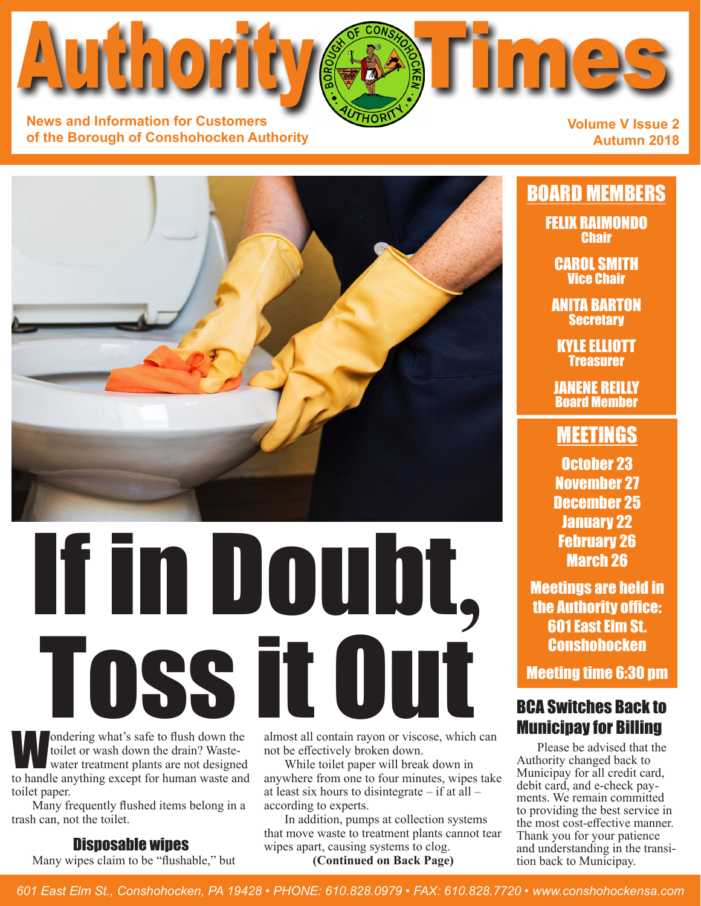toilet or wash down the drain? Wastewater treatment plants are not designed to handle anything except for human waste and toilet paper.

trash can, not the toilet.

#### Disposable wipes

Many wipes claim to be "flushable," but

almost all contain rayon or viscose, which can not be effectively broken down.

While toilet paper will break down in anywhere from one to four minutes, wipes take at least six hours to disintegrate – if at all – according to experts.

In addition, pumps at collection systems that move waste to treatment plants cannot tear wipes apart, causing systems to clog.

**(Continued on Back Page)**

**Autumn 2018**

**Volume V Issue 2**

BOARD MEMBERS FELIX RAIMONDO **Chair** 

> CAROL SMITH Vice Chair

ANITA BARTON **Secretary** 

KYLE ELLIOTT **Treasurer** 

JANENE REILLY Board Member

### **MEETINGS**

October 23 November 27 December 25 January 22 February 26 March 26

Meetings are held in the Authority office: 601 East Elm St. **Conshohocken** 

Meeting time 6:30 pm

## BCA Switches Back to

Please be advised that the Authority changed back to Municipay for all credit card,<br>debit card, and e-check payments. We remain committed to providing the best service in the most cost-effective manner. Thank you for your patience and understanding in the transition back to Municipay.

# ondering what's safe to flush down the almost all contain rayon or viscose, which can<br>toilet or wash down the drain? Waste-<br>water treatment plants are not designed while toilet paper will break down in Authority changed ba If in Doubt**,** Ondering what's safe to flush down the almost all contain rayon or viscose, which



**News and Information for Customers**

Author